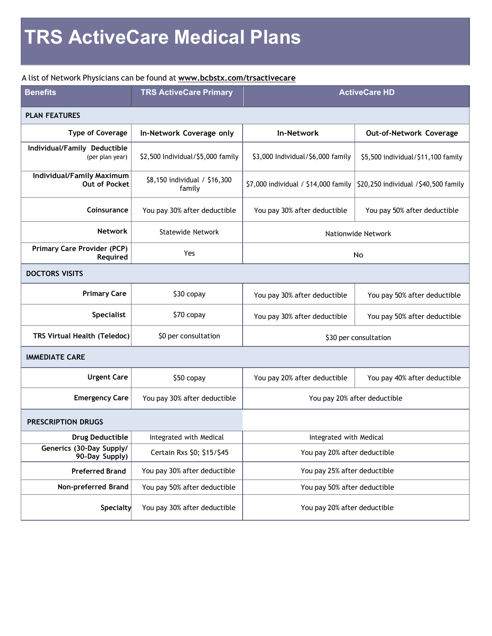## A list of Network Physicians can be found at **www.bcbstx.com/trsactivecare**

| <b>Benefits</b>                                   | <b>TRS ActiveCare Primary</b>           | <b>ActiveCare HD</b>                 |                                      |  |
|---------------------------------------------------|-----------------------------------------|--------------------------------------|--------------------------------------|--|
| <b>PLAN FEATURES</b>                              |                                         |                                      |                                      |  |
| <b>Type of Coverage</b>                           | In-Network Coverage only                | <b>In-Network</b>                    | Out-of-Network Coverage              |  |
| Individual/Family Deductible<br>(per plan year)   | \$2,500 Individual/\$5,000 family       | \$3,000 Individual/\$6,000 family    | \$5,500 individual/\$11,100 family   |  |
| Individual/Family Maximum<br><b>Out of Pocket</b> | \$8,150 individual / \$16,300<br>family | \$7,000 individual / \$14,000 family | \$20,250 individual /\$40,500 family |  |
| Coinsurance                                       | You pay 30% after deductible            | You pay 30% after deductible         | You pay 50% after deductible         |  |
| <b>Network</b>                                    | Statewide Network                       | Nationwide Network                   |                                      |  |
| <b>Primary Care Provider (PCP)</b><br>Required    | Yes                                     | No                                   |                                      |  |
| <b>DOCTORS VISITS</b>                             |                                         |                                      |                                      |  |
| <b>Primary Care</b>                               | \$30 copay                              | You pay 30% after deductible         | You pay 50% after deductible         |  |
| <b>Specialist</b>                                 | \$70 copay                              | You pay 30% after deductible         | You pay 50% after deductible         |  |
| TRS Virtual Health (Teledoc)                      | \$0 per consultation                    | \$30 per consultation                |                                      |  |
| <b>IMMEDIATE CARE</b>                             |                                         |                                      |                                      |  |
| <b>Urgent Care</b>                                | \$50 copay                              | You pay 20% after deductible         | You pay 40% after deductible         |  |
| <b>Emergency Care</b>                             | You pay 30% after deductible            | You pay 20% after deductible         |                                      |  |
| <b>PRESCRIPTION DRUGS</b>                         |                                         |                                      |                                      |  |
| <b>Drug Deductible</b>                            | Integrated with Medical                 | Integrated with Medical              |                                      |  |
| Generics (30-Day Supply/<br>90-Day Supply)        | Certain Rxs \$0; \$15/\$45              | You pay 20% after deductible         |                                      |  |
| <b>Preferred Brand</b>                            | You pay 30% after deductible            | You pay 25% after deductible         |                                      |  |
| Non-preferred Brand                               | You pay 50% after deductible            | You pay 50% after deductible         |                                      |  |
| <b>Specialty</b>                                  | You pay 30% after deductible            | You pay 20% after deductible         |                                      |  |